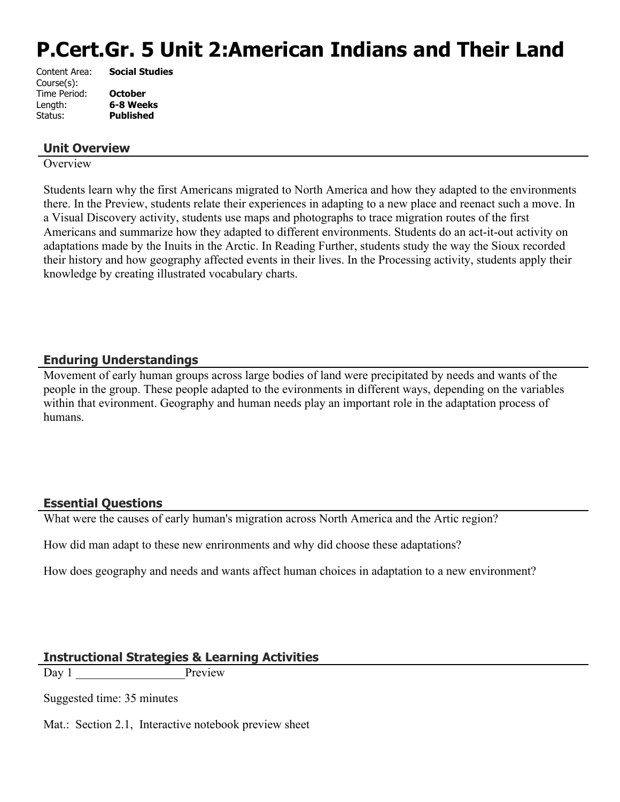# **P.Cert.Gr. 5 Unit 2:American Indians and Their Land**

| <b>Social Studies</b> |
|-----------------------|
|                       |
| <b>October</b>        |
| 6-8 Weeks             |
| <b>Published</b>      |
|                       |

#### **Unit Overview**

**Overview** 

Students learn why the first Americans migrated to North America and how they adapted to the environments there. In the Preview, students relate their experiences in adapting to a new place and reenact such a move. In a Visual Discovery activity, students use maps and photographs to trace migration routes of the first Americans and summarize how they adapted to different environments. Students do an act-it-out activity on adaptations made by the Inuits in the Arctic. In Reading Further, students study the way the Sioux recorded their history and how geography affected events in their lives. In the Processing activity, students apply their knowledge by creating illustrated vocabulary charts.

## **Enduring Understandings**

Movement of early human groups across large bodies of land were precipitated by needs and wants of the people in the group. These people adapted to the evironments in different ways, depending on the variables within that evironment. Geography and human needs play an important role in the adaptation process of humans.

#### **Essential Questions**

What were the causes of early human's migration across North America and the Artic region?

How did man adapt to these new enrironments and why did choose these adaptations?

How does geography and needs and wants affect human choices in adaptation to a new environment?

#### **Instructional Strategies & Learning Activities**

Day 1 Preview

Suggested time: 35 minutes

Mat.: Section 2.1, Interactive notebook preview sheet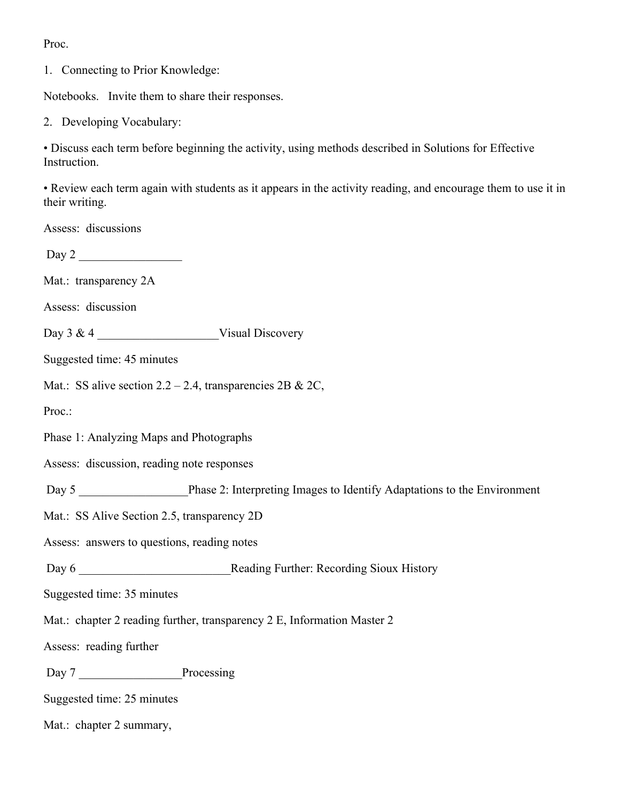Proc.

1. Connecting to Prior Knowledge:

Notebooks. Invite them to share their responses.

2. Developing Vocabulary:

• Discuss each term before beginning the activity, using methods described in Solutions for Effective Instruction.

• Review each term again with students as it appears in the activity reading, and encourage them to use it in their writing.

Assess: discussions

Day 2 \_\_\_\_\_\_\_\_\_\_\_\_\_\_\_\_\_

Mat.: transparency 2A

Assess: discussion

Day 3 & 4 \_\_\_\_\_\_\_\_\_\_\_\_\_\_\_\_\_\_\_\_Visual Discovery

Suggested time: 45 minutes

Mat.: SS alive section  $2.2 - 2.4$ , transparencies  $2B \& 2C$ ,

Proc.:

Phase 1: Analyzing Maps and Photographs

Assess: discussion, reading note responses

Day 5 **Day 5** Phase 2: Interpreting Images to Identify Adaptations to the Environment

Mat.: SS Alive Section 2.5, transparency 2D

Assess: answers to questions, reading notes

Day 6 **Day 6** Reading Further: Recording Sioux History

Suggested time: 35 minutes

Mat.: chapter 2 reading further, transparency 2 E, Information Master 2

Assess: reading further

Day 7 **Processing** 

Suggested time: 25 minutes

Mat.: chapter 2 summary,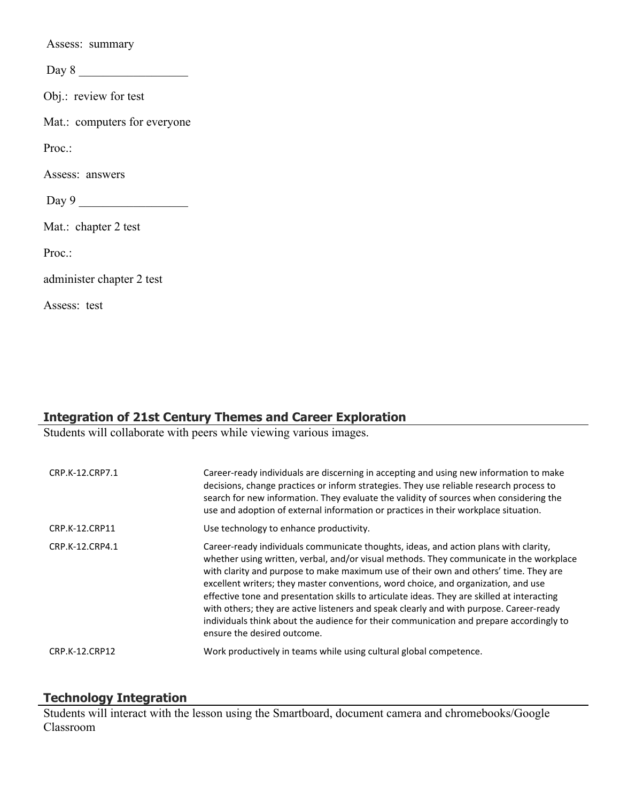Assess: summary

 $Day 8$ 

Obj.: review for test

Mat.: computers for everyone

Proc.:

Assess: answers

 $Day 9$ 

Mat.: chapter 2 test

Proc.:

administer chapter 2 test

Assess: test

# **Integration of 21st Century Themes and Career Exploration**

Students will collaborate with peers while viewing various images.

| CRP.K-12.CRP7.1 | Career-ready individuals are discerning in accepting and using new information to make<br>decisions, change practices or inform strategies. They use reliable research process to<br>search for new information. They evaluate the validity of sources when considering the<br>use and adoption of external information or practices in their workplace situation.                                                                                                                                                                                                                                                                                                                |
|-----------------|-----------------------------------------------------------------------------------------------------------------------------------------------------------------------------------------------------------------------------------------------------------------------------------------------------------------------------------------------------------------------------------------------------------------------------------------------------------------------------------------------------------------------------------------------------------------------------------------------------------------------------------------------------------------------------------|
| CRP.K-12.CRP11  | Use technology to enhance productivity.                                                                                                                                                                                                                                                                                                                                                                                                                                                                                                                                                                                                                                           |
| CRP.K-12.CRP4.1 | Career-ready individuals communicate thoughts, ideas, and action plans with clarity,<br>whether using written, verbal, and/or visual methods. They communicate in the workplace<br>with clarity and purpose to make maximum use of their own and others' time. They are<br>excellent writers; they master conventions, word choice, and organization, and use<br>effective tone and presentation skills to articulate ideas. They are skilled at interacting<br>with others; they are active listeners and speak clearly and with purpose. Career-ready<br>individuals think about the audience for their communication and prepare accordingly to<br>ensure the desired outcome. |
| CRP.K-12.CRP12  | Work productively in teams while using cultural global competence.                                                                                                                                                                                                                                                                                                                                                                                                                                                                                                                                                                                                                |

## **Technology Integration**

Students will interact with the lesson using the Smartboard, document camera and chromebooks/Google Classroom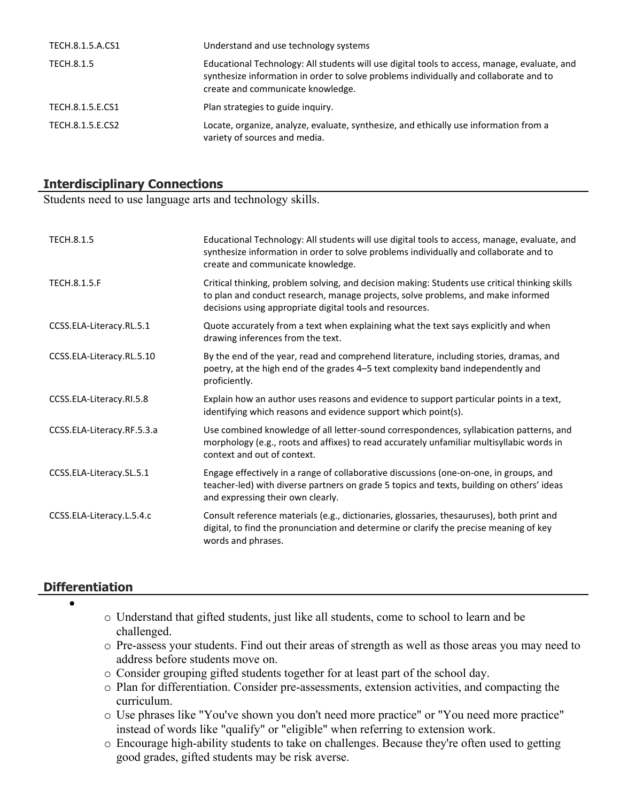| TECH.8.1.5.A.CS1 | Understand and use technology systems                                                                                                                                                                                      |
|------------------|----------------------------------------------------------------------------------------------------------------------------------------------------------------------------------------------------------------------------|
| TECH.8.1.5       | Educational Technology: All students will use digital tools to access, manage, evaluate, and<br>synthesize information in order to solve problems individually and collaborate and to<br>create and communicate knowledge. |
| TECH.8.1.5.E.CS1 | Plan strategies to guide inquiry.                                                                                                                                                                                          |
| TECH.8.1.5.E.CS2 | Locate, organize, analyze, evaluate, synthesize, and ethically use information from a<br>variety of sources and media.                                                                                                     |

## **Interdisciplinary Connections**

Students need to use language arts and technology skills.

| <b>TECH.8.1.5</b>          | Educational Technology: All students will use digital tools to access, manage, evaluate, and<br>synthesize information in order to solve problems individually and collaborate and to<br>create and communicate knowledge.                     |
|----------------------------|------------------------------------------------------------------------------------------------------------------------------------------------------------------------------------------------------------------------------------------------|
| <b>TECH.8.1.5.F</b>        | Critical thinking, problem solving, and decision making: Students use critical thinking skills<br>to plan and conduct research, manage projects, solve problems, and make informed<br>decisions using appropriate digital tools and resources. |
| CCSS.ELA-Literacy.RL.5.1   | Quote accurately from a text when explaining what the text says explicitly and when<br>drawing inferences from the text.                                                                                                                       |
| CCSS.ELA-Literacy.RL.5.10  | By the end of the year, read and comprehend literature, including stories, dramas, and<br>poetry, at the high end of the grades 4-5 text complexity band independently and<br>proficiently.                                                    |
| CCSS.ELA-Literacy.RI.5.8   | Explain how an author uses reasons and evidence to support particular points in a text,<br>identifying which reasons and evidence support which point(s).                                                                                      |
| CCSS.ELA-Literacy.RF.5.3.a | Use combined knowledge of all letter-sound correspondences, syllabication patterns, and<br>morphology (e.g., roots and affixes) to read accurately unfamiliar multisyllabic words in<br>context and out of context.                            |
| CCSS.ELA-Literacy.SL.5.1   | Engage effectively in a range of collaborative discussions (one-on-one, in groups, and<br>teacher-led) with diverse partners on grade 5 topics and texts, building on others' ideas<br>and expressing their own clearly.                       |
| CCSS.ELA-Literacy.L.5.4.c  | Consult reference materials (e.g., dictionaries, glossaries, thesauruses), both print and<br>digital, to find the pronunciation and determine or clarify the precise meaning of key<br>words and phrases.                                      |

#### **Differentiation**

- $\bullet$
- o Understand that gifted students, just like all students, come to school to learn and be challenged.
- o Pre-assess your students. Find out their areas of strength as well as those areas you may need to address before students move on.
- o Consider grouping gifted students together for at least part of the school day.
- o Plan for differentiation. Consider pre-assessments, extension activities, and compacting the curriculum.
- o Use phrases like "You've shown you don't need more practice" or "You need more practice" instead of words like "qualify" or "eligible" when referring to extension work.
- o Encourage high-ability students to take on challenges. Because they're often used to getting good grades, gifted students may be risk averse.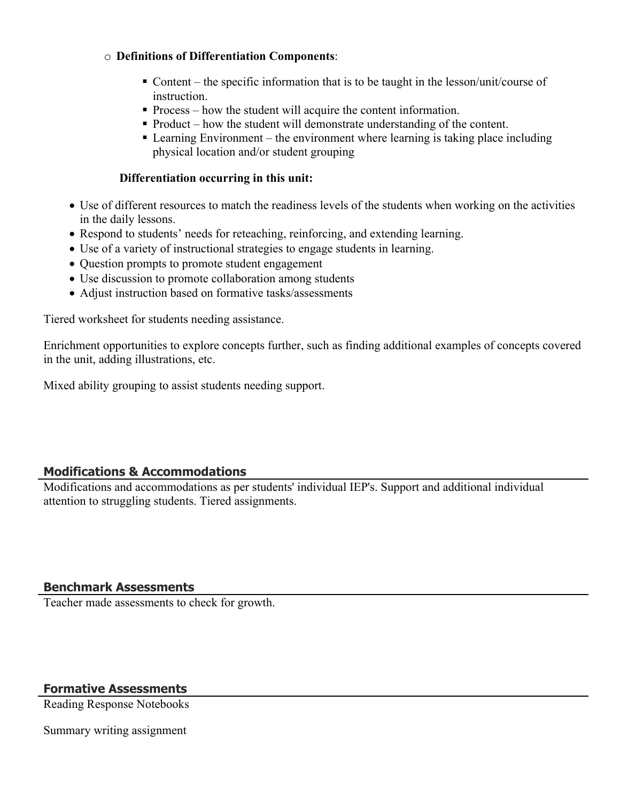#### o **Definitions of Differentiation Components**:

- Content the specific information that is to be taught in the lesson/unit/course of instruction.
- Process how the student will acquire the content information.
- Product how the student will demonstrate understanding of the content.
- Learning Environment the environment where learning is taking place including physical location and/or student grouping

#### **Differentiation occurring in this unit:**

- Use of different resources to match the readiness levels of the students when working on the activities in the daily lessons.
- Respond to students' needs for reteaching, reinforcing, and extending learning.
- Use of a variety of instructional strategies to engage students in learning.
- Ouestion prompts to promote student engagement
- Use discussion to promote collaboration among students
- Adjust instruction based on formative tasks/assessments

Tiered worksheet for students needing assistance.

Enrichment opportunities to explore concepts further, such as finding additional examples of concepts covered in the unit, adding illustrations, etc.

Mixed ability grouping to assist students needing support.

#### **Modifications & Accommodations**

Modifications and accommodations as per students' individual IEP's. Support and additional individual attention to struggling students. Tiered assignments.

#### **Benchmark Assessments**

Teacher made assessments to check for growth.

#### **Formative Assessments**

Reading Response Notebooks

Summary writing assignment